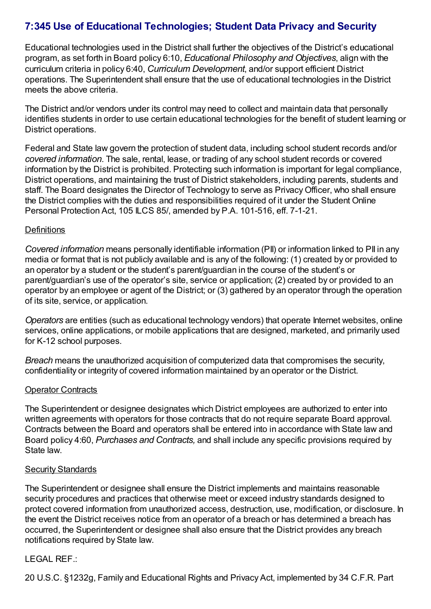# **7:345 Use of Educational Technologies; Student Data Privacy and Security**

Educational technologies used in the District shall further the objectives of the District's educational program, as set forth in Board policy 6:10, *Educational Philosophy and Objectives*, align with the curriculum criteria in policy 6:40, *Curriculum Development*, and/or support efficient District operations. The Superintendent shall ensure that the use of educational technologies in the District meets the above criteria.

The District and/or vendors under its control may need to collect and maintain data that personally identifies students in order to use certain educational technologies for the benefit of student learning or District operations.

Federal and State law govern the protection of student data, including school student records and/or *covered information*. The sale, rental, lease, or trading of any school student records or covered information by the District is prohibited. Protecting such information is important for legal compliance, District operations, and maintaining the trust of District stakeholders, including parents, students and staff. The Board designates the Director of Technology to serve as PrivacyOfficer, who shall ensure the District complies with the duties and responsibilities required of it under the Student Online Personal Protection Act, 105 ILCS 85/, amended by P.A. 101-516, eff. 7-1-21.

## **Definitions**

*Covered information* means personally identifiable information (PII) or information linked to PII in any media or format that is not publicly available and is any of the following: (1) created by or provided to an operator by a student or the student's parent/guardian in the course of the student's or parent/guardian's use of the operator's site, service or application; (2) created by or provided to an operator by an employee or agent of the District; or (3) gathered by an operator through the operation of its site, service, or application.

*Operators* are entities (such as educational technology vendors) that operate Internet websites, online services, online applications, or mobile applications that are designed, marketed, and primarily used for K-12 school purposes.

*Breach* means the unauthorized acquisition of computerized data that compromises the security, confidentiality or integrity of covered information maintained by an operator or the District.

## **Operator Contracts**

The Superintendent or designee designates which District employees are authorized to enter into written agreements with operators for those contracts that do not require separate Board approval. Contracts between the Board and operators shall be entered into in accordance with State law and Board policy 4:60, *Purchases and Contracts,* and shall include any specific provisions required by State law.

#### Security Standards

The Superintendent or designee shall ensure the District implements and maintains reasonable security procedures and practices that otherwise meet or exceed industry standards designed to protect covered information from unauthorized access, destruction, use, modification, or disclosure. In the event the District receives notice from an operator of a breach or has determined a breach has occurred, the Superintendent or designee shall also ensure that the District provides any breach notifications required by State law.

## LEGAL REF.:

20 U.S.C. §1232g, Family and Educational Rights and Privacy Act, implemented by 34 C.F.R. Part